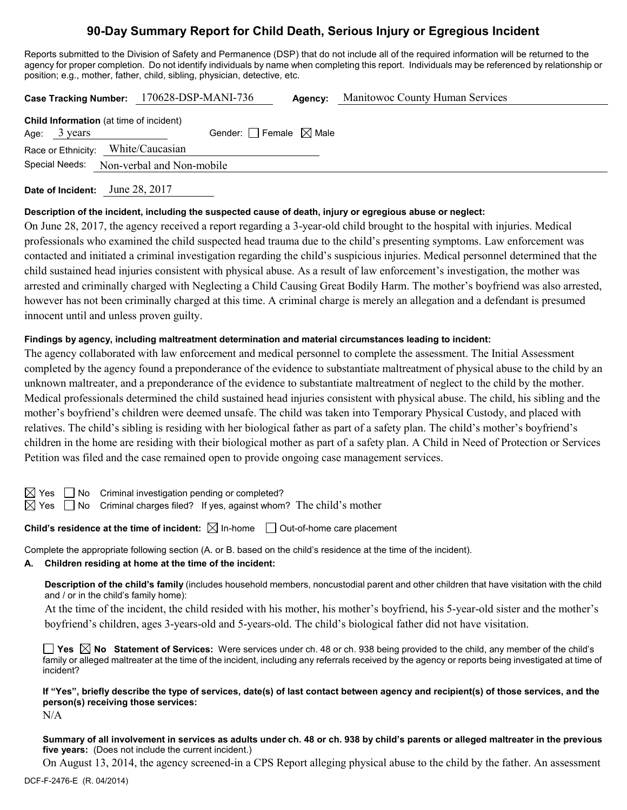# **90-Day Summary Report for Child Death, Serious Injury or Egregious Incident**

Reports submitted to the Division of Safety and Permanence (DSP) that do not include all of the required information will be returned to the agency for proper completion. Do not identify individuals by name when completing this report. Individuals may be referenced by relationship or position; e.g., mother, father, child, sibling, physician, detective, etc.

|                                                                   | Case Tracking Number: 170628-DSP-MANI-736 | <b>Agency:</b> Manitowoc County Human Services |  |
|-------------------------------------------------------------------|-------------------------------------------|------------------------------------------------|--|
| Child Information (at time of incident)<br>Age: $3 \text{ years}$ | Gender: Female $\boxtimes$ Male           |                                                |  |
|                                                                   |                                           |                                                |  |
| Race or Ethnicity: White/Caucasian                                |                                           |                                                |  |
|                                                                   | Special Needs: Non-verbal and Non-mobile  |                                                |  |

**Date of Incident:** June 28, 2017

### **Description of the incident, including the suspected cause of death, injury or egregious abuse or neglect:**

On June 28, 2017, the agency received a report regarding a 3-year-old child brought to the hospital with injuries. Medical professionals who examined the child suspected head trauma due to the child's presenting symptoms. Law enforcement was contacted and initiated a criminal investigation regarding the child's suspicious injuries. Medical personnel determined that the child sustained head injuries consistent with physical abuse. As a result of law enforcement's investigation, the mother was arrested and criminally charged with Neglecting a Child Causing Great Bodily Harm. The mother's boyfriend was also arrested, however has not been criminally charged at this time. A criminal charge is merely an allegation and a defendant is presumed innocent until and unless proven guilty.

### **Findings by agency, including maltreatment determination and material circumstances leading to incident:**

The agency collaborated with law enforcement and medical personnel to complete the assessment. The Initial Assessment completed by the agency found a preponderance of the evidence to substantiate maltreatment of physical abuse to the child by an unknown maltreater, and a preponderance of the evidence to substantiate maltreatment of neglect to the child by the mother. Medical professionals determined the child sustained head injuries consistent with physical abuse. The child, his sibling and the mother's boyfriend's children were deemed unsafe. The child was taken into Temporary Physical Custody, and placed with relatives. The child's sibling is residing with her biological father as part of a safety plan. The child's mother's boyfriend's children in the home are residing with their biological mother as part of a safety plan. A Child in Need of Protection or Services Petition was filed and the case remained open to provide ongoing case management services.

 $\Box$  No Criminal investigation pending or completed?

 $\boxtimes$  Yes  $\Box$  No Criminal charges filed? If yes, against whom? The child's mother

# **Child's residence at the time of incident:**  $\boxtimes$  In-home  $\Box$  Out-of-home care placement

Complete the appropriate following section (A. or B. based on the child's residence at the time of the incident).

# **A. Children residing at home at the time of the incident:**

**Description of the child's family** (includes household members, noncustodial parent and other children that have visitation with the child and / or in the child's family home):

At the time of the incident, the child resided with his mother, his mother's boyfriend, his 5-year-old sister and the mother's boyfriend's children, ages 3-years-old and 5-years-old. The child's biological father did not have visitation.

**Yes No Statement of Services:** Were services under ch. 48 or ch. 938 being provided to the child, any member of the child's family or alleged maltreater at the time of the incident, including any referrals received by the agency or reports being investigated at time of incident?

**If "Yes", briefly describe the type of services, date(s) of last contact between agency and recipient(s) of those services, and the person(s) receiving those services:**

N/A

**Summary of all involvement in services as adults under ch. 48 or ch. 938 by child's parents or alleged maltreater in the previous five years:** (Does not include the current incident.)

On August 13, 2014, the agency screened-in a CPS Report alleging physical abuse to the child by the father. An assessment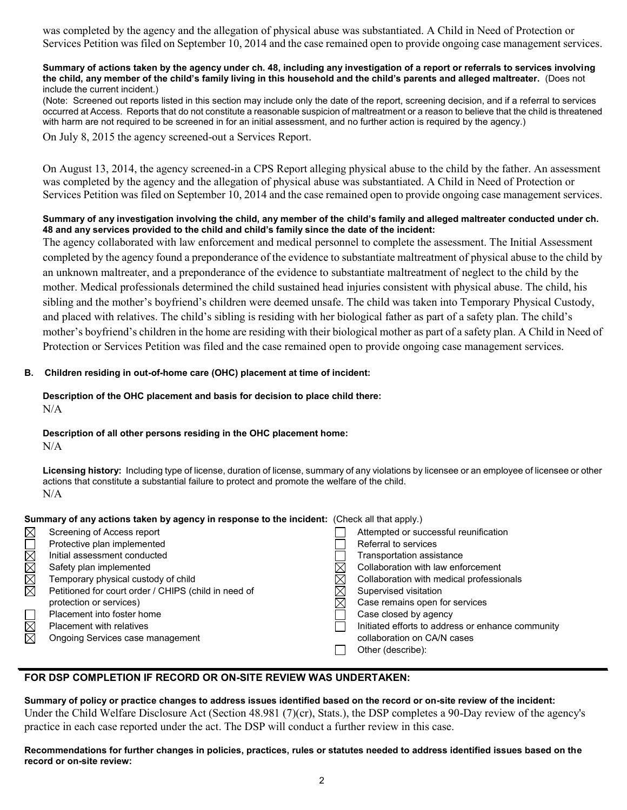was completed by the agency and the allegation of physical abuse was substantiated. A Child in Need of Protection or Services Petition was filed on September 10, 2014 and the case remained open to provide ongoing case management services.

#### **Summary of actions taken by the agency under ch. 48, including any investigation of a report or referrals to services involving the child, any member of the child's family living in this household and the child's parents and alleged maltreater.** (Does not include the current incident.)

(Note: Screened out reports listed in this section may include only the date of the report, screening decision, and if a referral to services occurred at Access. Reports that do not constitute a reasonable suspicion of maltreatment or a reason to believe that the child is threatened with harm are not required to be screened in for an initial assessment, and no further action is required by the agency.)

On July 8, 2015 the agency screened-out a Services Report.

On August 13, 2014, the agency screened-in a CPS Report alleging physical abuse to the child by the father. An assessment was completed by the agency and the allegation of physical abuse was substantiated. A Child in Need of Protection or Services Petition was filed on September 10, 2014 and the case remained open to provide ongoing case management services.

#### **Summary of any investigation involving the child, any member of the child's family and alleged maltreater conducted under ch. 48 and any services provided to the child and child's family since the date of the incident:**

The agency collaborated with law enforcement and medical personnel to complete the assessment. The Initial Assessment completed by the agency found a preponderance of the evidence to substantiate maltreatment of physical abuse to the child by an unknown maltreater, and a preponderance of the evidence to substantiate maltreatment of neglect to the child by the mother. Medical professionals determined the child sustained head injuries consistent with physical abuse. The child, his sibling and the mother's boyfriend's children were deemed unsafe. The child was taken into Temporary Physical Custody, and placed with relatives. The child's sibling is residing with her biological father as part of a safety plan. The child's mother's boyfriend's children in the home are residing with their biological mother as part of a safety plan. A Child in Need of Protection or Services Petition was filed and the case remained open to provide ongoing case management services.

## **B. Children residing in out-of-home care (OHC) placement at time of incident:**

#### **Description of the OHC placement and basis for decision to place child there:** N/A

#### **Description of all other persons residing in the OHC placement home:** N/A

**Licensing history:** Including type of license, duration of license, summary of any violations by licensee or an employee of licensee or other actions that constitute a substantial failure to protect and promote the welfare of the child. N/A

## **Summary of any actions taken by agency in response to the incident:** (Check all that apply.)

|   | Screening of Access report                           | Attempted or successful reunification             |
|---|------------------------------------------------------|---------------------------------------------------|
|   | Protective plan implemented                          | Referral to services                              |
|   | Initial assessment conducted                         | Transportation assistance                         |
|   | Safety plan implemented                              | Collaboration with law enforcement                |
|   | Temporary physical custody of child                  | Collaboration with medical professionals          |
| ₹ | Petitioned for court order / CHIPS (child in need of | Supervised visitation                             |
|   | protection or services)                              | Case remains open for services                    |
|   | Placement into foster home                           | Case closed by agency                             |
|   | <b>Placement with relatives</b>                      | Initiated efforts to address or enhance community |
| 对 | Ongoing Services case management                     | collaboration on CA/N cases                       |
|   |                                                      | Other (describe):                                 |
|   |                                                      |                                                   |

## **FOR DSP COMPLETION IF RECORD OR ON-SITE REVIEW WAS UNDERTAKEN:**

**Summary of policy or practice changes to address issues identified based on the record or on-site review of the incident:** Under the Child Welfare Disclosure Act (Section 48.981 (7)(cr), Stats.), the DSP completes a 90-Day review of the agency's practice in each case reported under the act. The DSP will conduct a further review in this case.

#### **Recommendations for further changes in policies, practices, rules or statutes needed to address identified issues based on the record or on-site review:**